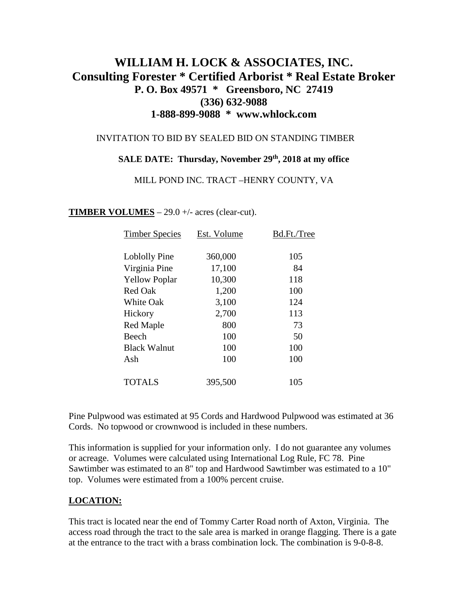# **WILLIAM H. LOCK & ASSOCIATES, INC. Consulting Forester \* Certified Arborist \* Real Estate Broker P. O. Box 49571 \* Greensboro, NC 27419 (336) 632-9088 1-888-899-9088 \* www.whlock.com**

#### INVITATION TO BID BY SEALED BID ON STANDING TIMBER

### **SALE DATE: Thursday, November 29th, 2018 at my office**

#### MILL POND INC. TRACT –HENRY COUNTY, VA

#### **TIMBER VOLUMES** – 29.0 +/- acres (clear-cut).

| <b>Timber Species</b> | Est. Volume | Bd.Ft./Tree |
|-----------------------|-------------|-------------|
|                       |             |             |
| Loblolly Pine         | 360,000     | 105         |
| Virginia Pine         | 17,100      | 84          |
| <b>Yellow Poplar</b>  | 10,300      | 118         |
| <b>Red Oak</b>        | 1,200       | 100         |
| <b>White Oak</b>      | 3,100       | 124         |
| Hickory               | 2,700       | 113         |
| Red Maple             | 800         | 73          |
| Beech                 | 100         | 50          |
| <b>Black Walnut</b>   | 100         | 100         |
| Ash                   | 100         | 100         |
|                       |             |             |
| <b>TOTALS</b>         | 395,500     | 105         |

Pine Pulpwood was estimated at 95 Cords and Hardwood Pulpwood was estimated at 36 Cords. No topwood or crownwood is included in these numbers.

This information is supplied for your information only. I do not guarantee any volumes or acreage. Volumes were calculated using International Log Rule, FC 78. Pine Sawtimber was estimated to an 8" top and Hardwood Sawtimber was estimated to a 10" top. Volumes were estimated from a 100% percent cruise.

### **LOCATION:**

This tract is located near the end of Tommy Carter Road north of Axton, Virginia. The access road through the tract to the sale area is marked in orange flagging. There is a gate at the entrance to the tract with a brass combination lock. The combination is 9-0-8-8.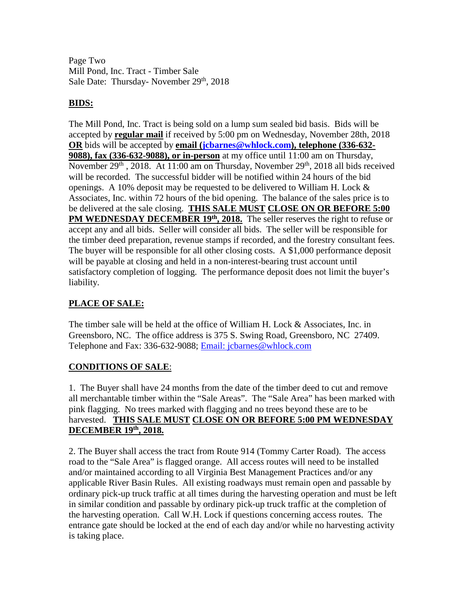Page Two Mill Pond, Inc. Tract - Timber Sale Sale Date: Thursday- November 29<sup>th</sup>, 2018

## **BIDS:**

The Mill Pond, Inc. Tract is being sold on a lump sum sealed bid basis. Bids will be accepted by **regular mail** if received by 5:00 pm on Wednesday, November 28th, 2018 **OR** bids will be accepted by **email [\(jcbarnes@whlock.com\)](mailto:jcbarnes@whlock.com), telephone (336-632- 9088), fax (336-632-9088), or in-person** at my office until 11:00 am on Thursday, November 29<sup>th</sup>, 2018. At 11:00 am on Thursday, November 29<sup>th</sup>, 2018 all bids received will be recorded. The successful bidder will be notified within 24 hours of the bid openings. A 10% deposit may be requested to be delivered to William H. Lock  $\&$ Associates, Inc. within 72 hours of the bid opening. The balance of the sales price is to be delivered at the sale closing. **THIS SALE MUST CLOSE ON OR BEFORE 5:00 PM WEDNESDAY DECEMBER 19th, 2018.** The seller reserves the right to refuse or accept any and all bids. Seller will consider all bids. The seller will be responsible for the timber deed preparation, revenue stamps if recorded, and the forestry consultant fees. The buyer will be responsible for all other closing costs. A \$1,000 performance deposit will be payable at closing and held in a non-interest-bearing trust account until satisfactory completion of logging. The performance deposit does not limit the buyer's liability.

# **PLACE OF SALE:**

The timber sale will be held at the office of William H. Lock & Associates, Inc. in Greensboro, NC. The office address is 375 S. Swing Road, Greensboro, NC 27409. Telephone and Fax: 336-632-9088; [Email: jcbarnes@whlock.com](mailto:Email:%20jcbarnes@whlock.com) 

## **CONDITIONS OF SALE**:

1. The Buyer shall have 24 months from the date of the timber deed to cut and remove all merchantable timber within the "Sale Areas". The "Sale Area" has been marked with pink flagging. No trees marked with flagging and no trees beyond these are to be harvested. **THIS SALE MUST CLOSE ON OR BEFORE 5:00 PM WEDNESDAY DECEMBER 19th, 2018.**

2. The Buyer shall access the tract from Route 914 (Tommy Carter Road). The access road to the "Sale Area" is flagged orange. All access routes will need to be installed and/or maintained according to all Virginia Best Management Practices and/or any applicable River Basin Rules. All existing roadways must remain open and passable by ordinary pick-up truck traffic at all times during the harvesting operation and must be left in similar condition and passable by ordinary pick-up truck traffic at the completion of the harvesting operation. Call W.H. Lock if questions concerning access routes. The entrance gate should be locked at the end of each day and/or while no harvesting activity is taking place.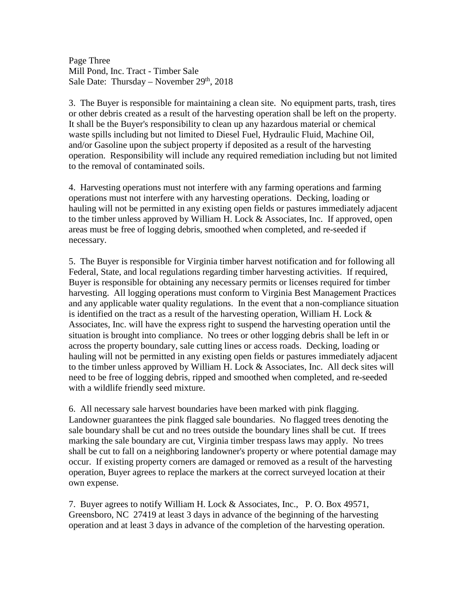Page Three Mill Pond, Inc. Tract - Timber Sale Sale Date: Thursday – November  $29<sup>th</sup>$ , 2018

3. The Buyer is responsible for maintaining a clean site. No equipment parts, trash, tires or other debris created as a result of the harvesting operation shall be left on the property. It shall be the Buyer's responsibility to clean up any hazardous material or chemical waste spills including but not limited to Diesel Fuel, Hydraulic Fluid, Machine Oil, and/or Gasoline upon the subject property if deposited as a result of the harvesting operation. Responsibility will include any required remediation including but not limited to the removal of contaminated soils.

4. Harvesting operations must not interfere with any farming operations and farming operations must not interfere with any harvesting operations. Decking, loading or hauling will not be permitted in any existing open fields or pastures immediately adjacent to the timber unless approved by William H. Lock & Associates, Inc. If approved, open areas must be free of logging debris, smoothed when completed, and re-seeded if necessary.

5. The Buyer is responsible for Virginia timber harvest notification and for following all Federal, State, and local regulations regarding timber harvesting activities. If required, Buyer is responsible for obtaining any necessary permits or licenses required for timber harvesting. All logging operations must conform to Virginia Best Management Practices and any applicable water quality regulations. In the event that a non-compliance situation is identified on the tract as a result of the harvesting operation, William H. Lock  $\&$ Associates, Inc. will have the express right to suspend the harvesting operation until the situation is brought into compliance. No trees or other logging debris shall be left in or across the property boundary, sale cutting lines or access roads. Decking, loading or hauling will not be permitted in any existing open fields or pastures immediately adjacent to the timber unless approved by William H. Lock & Associates, Inc. All deck sites will need to be free of logging debris, ripped and smoothed when completed, and re-seeded with a wildlife friendly seed mixture.

6. All necessary sale harvest boundaries have been marked with pink flagging. Landowner guarantees the pink flagged sale boundaries. No flagged trees denoting the sale boundary shall be cut and no trees outside the boundary lines shall be cut. If trees marking the sale boundary are cut, Virginia timber trespass laws may apply. No trees shall be cut to fall on a neighboring landowner's property or where potential damage may occur. If existing property corners are damaged or removed as a result of the harvesting operation, Buyer agrees to replace the markers at the correct surveyed location at their own expense.

7. Buyer agrees to notify William H. Lock & Associates, Inc., P. O. Box 49571, Greensboro, NC 27419 at least 3 days in advance of the beginning of the harvesting operation and at least 3 days in advance of the completion of the harvesting operation.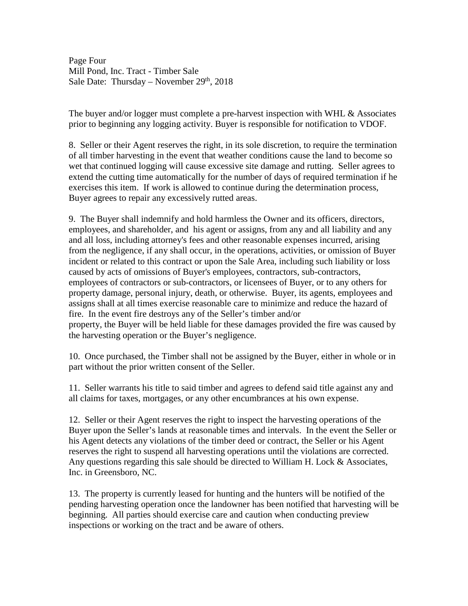Page Four Mill Pond, Inc. Tract - Timber Sale Sale Date: Thursday – November  $29<sup>th</sup>$ , 2018

The buyer and/or logger must complete a pre-harvest inspection with WHL  $\&$  Associates prior to beginning any logging activity. Buyer is responsible for notification to VDOF.

8. Seller or their Agent reserves the right, in its sole discretion, to require the termination of all timber harvesting in the event that weather conditions cause the land to become so wet that continued logging will cause excessive site damage and rutting. Seller agrees to extend the cutting time automatically for the number of days of required termination if he exercises this item. If work is allowed to continue during the determination process, Buyer agrees to repair any excessively rutted areas.

9. The Buyer shall indemnify and hold harmless the Owner and its officers, directors, employees, and shareholder, and his agent or assigns, from any and all liability and any and all loss, including attorney's fees and other reasonable expenses incurred, arising from the negligence, if any shall occur, in the operations, activities, or omission of Buyer incident or related to this contract or upon the Sale Area, including such liability or loss caused by acts of omissions of Buyer's employees, contractors, sub-contractors, employees of contractors or sub-contractors, or licensees of Buyer, or to any others for property damage, personal injury, death, or otherwise. Buyer, its agents, employees and assigns shall at all times exercise reasonable care to minimize and reduce the hazard of fire. In the event fire destroys any of the Seller's timber and/or property, the Buyer will be held liable for these damages provided the fire was caused by the harvesting operation or the Buyer's negligence.

10. Once purchased, the Timber shall not be assigned by the Buyer, either in whole or in part without the prior written consent of the Seller.

11. Seller warrants his title to said timber and agrees to defend said title against any and all claims for taxes, mortgages, or any other encumbrances at his own expense.

12. Seller or their Agent reserves the right to inspect the harvesting operations of the Buyer upon the Seller's lands at reasonable times and intervals. In the event the Seller or his Agent detects any violations of the timber deed or contract, the Seller or his Agent reserves the right to suspend all harvesting operations until the violations are corrected. Any questions regarding this sale should be directed to William H. Lock  $\&$  Associates, Inc. in Greensboro, NC.

13. The property is currently leased for hunting and the hunters will be notified of the pending harvesting operation once the landowner has been notified that harvesting will be beginning. All parties should exercise care and caution when conducting preview inspections or working on the tract and be aware of others.